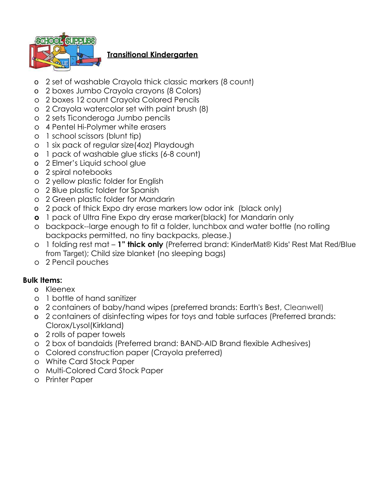

# **Transitional Kindergarten**

- o 2 set of washable Crayola thick classic markers (8 count)
- o 2 boxes Jumbo Crayola crayons (8 Colors)
- o 2 boxes 12 count Crayola Colored Pencils
- o 2 Crayola watercolor set with paint brush (8)
- o 2 sets Ticonderoga Jumbo pencils
- o 4 Pentel Hi-Polymer white erasers
- o 1 school scissors (blunt tip)
- o 1 six pack of regular size(4oz) Playdough
- o 1 pack of washable glue sticks (6-8 count)
- o 2 Elmer's Liquid school glue
- o 2 spiral notebooks
- o 2 yellow plastic folder for English
- o 2 Blue plastic folder for Spanish
- o 2 Green plastic folder for Mandarin
- o 2 pack of thick Expo dry erase markers low odor ink (black only)
- **o** 1 pack of Ultra Fine Expo dry erase marker(black) for Mandarin only
- o backpack--large enough to fit a folder, lunchbox and water bottle (no rolling backpacks permitted, no tiny backpacks, please.)
- o 1 folding rest mat **1" thick only** (Preferred brand: KinderMat® Kids' Rest Mat Red/Blue from Target); Child size blanket (no sleeping bags)
- o 2 Pencil pouches

- o Kleenex
- o 1 bottle of hand sanitizer
- o 2 containers of baby/hand wipes (preferred brands: Earth's Best, Cleanwell)
- o 2 containers of disinfecting wipes for toys and table surfaces (Preferred brands: Clorox/Lysol(Kirkland)
- o 2 rolls of paper towels
- o 2 box of bandaids (Preferred brand: BAND-AID Brand flexible Adhesives)
- o Colored construction paper (Crayola preferred)
- o White Card Stock Paper
- o Multi-Colored Card Stock Paper
- o Printer Paper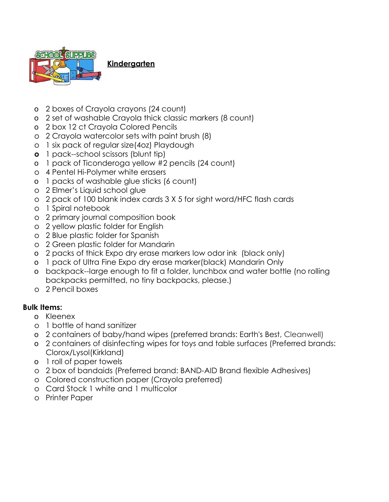

**Kindergarten**

- o 2 boxes of Crayola crayons (24 count)
- o 2 set of washable Crayola thick classic markers (8 count)
- o 2 box 12 ct Crayola Colored Pencils
- o 2 Crayola watercolor sets with paint brush (8)
- o 1 six pack of regular size(4oz) Playdough
- **o** 1 pack--school scissors (blunt tip)
- o 1 pack of Ticonderoga yellow #2 pencils (24 count)
- o 4 Pentel Hi-Polymer white erasers
- o 1 packs of washable glue sticks (6 count)
- o 2 Elmer's Liquid school glue
- o 2 pack of 100 blank index cards 3 X 5 for sight word/HFC flash cards
- o 1 Spiral notebook
- o 2 primary journal composition book
- o 2 yellow plastic folder for English
- o 2 Blue plastic folder for Spanish
- o 2 Green plastic folder for Mandarin
- o 2 packs of thick Expo dry erase markers low odor ink (black only)
- o 1 pack of Ultra Fine Expo dry erase marker(black) Mandarin Only
- o backpack--large enough to fit a folder, lunchbox and water bottle (no rolling backpacks permitted, no tiny backpacks, please.)
- o 2 Pencil boxes

- o Kleenex
- o 1 bottle of hand sanitizer
- o 2 containers of baby/hand wipes (preferred brands: Earth's Best, Cleanwell)
- o 2 containers of disinfecting wipes for toys and table surfaces (Preferred brands: Clorox/Lysol(Kirkland)
- o 1 roll of paper towels
- o 2 box of bandaids (Preferred brand: BAND-AID Brand flexible Adhesives)
- o Colored construction paper (Crayola preferred)
- o Card Stock 1 white and 1 multicolor
- o Printer Paper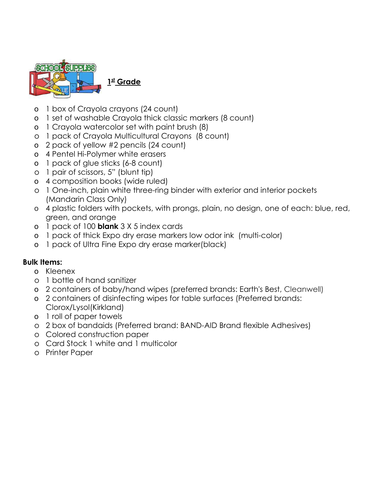

**1 st Grade**

- o 1 box of Crayola crayons (24 count)
- o 1 set of washable Crayola thick classic markers (8 count)
- o 1 Crayola watercolor set with paint brush (8)
- o 1 pack of Crayola Multicultural Crayons (8 count)
- o 2 pack of yellow #2 pencils (24 count)
- o 4 Pentel Hi-Polymer white erasers
- o 1 pack of glue sticks (6-8 count)
- o 1 pair of scissors, 5" (blunt tip)
- o 4 composition books (wide ruled)
- o 1 One-inch, plain white three-ring binder with exterior and interior pockets (Mandarin Class Only)
- o 4 plastic folders with pockets, with prongs, plain, no design, one of each: blue, red, green, and orange
- o 1 pack of 100 **blank** 3 X 5 index cards
- o 1 pack of thick Expo dry erase markers low odor ink (multi-color)
- o 1 pack of Ultra Fine Expo dry erase marker(black)

- o Kleenex
- o 1 bottle of hand sanitizer
- o 2 containers of baby/hand wipes (preferred brands: Earth's Best, Cleanwell)
- o 2 containers of disinfecting wipes for table surfaces (Preferred brands: Clorox/Lysol(Kirkland)
- o 1 roll of paper towels
- o 2 box of bandaids (Preferred brand: BAND-AID Brand flexible Adhesives)
- o Colored construction paper
- o Card Stock 1 white and 1 multicolor
- o Printer Paper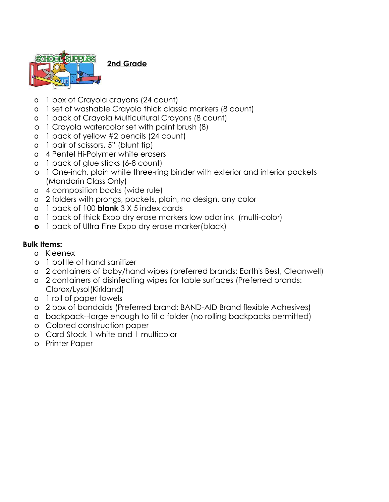

**2nd Grade**

- o 1 box of Crayola crayons (24 count)
- o 1 set of washable Crayola thick classic markers (8 count)
- o 1 pack of Crayola Multicultural Crayons (8 count)
- o 1 Crayola watercolor set with paint brush (8)
- o 1 pack of yellow #2 pencils (24 count)
- o 1 pair of scissors, 5" (blunt tip)
- o 4 Pentel Hi-Polymer white erasers
- o 1 pack of glue sticks (6-8 count)
- o 1 One-inch, plain white three-ring binder with exterior and interior pockets (Mandarin Class Only)
- o 4 composition books (wide rule)
- o 2 folders with prongs, pockets, plain, no design, any color
- o 1 pack of 100 **blank** 3 X 5 index cards
- o 1 pack of thick Expo dry erase markers low odor ink (multi-color)
- **o** 1 pack of Ultra Fine Expo dry erase marker(black)

- o Kleenex
- o 1 bottle of hand sanitizer
- o 2 containers of baby/hand wipes (preferred brands: Earth's Best, Cleanwell)
- o 2 containers of disinfecting wipes for table surfaces (Preferred brands: Clorox/Lysol(Kirkland)
- o 1 roll of paper towels
- o 2 box of bandaids (Preferred brand: BAND-AID Brand flexible Adhesives)
- o backpack--large enough to fit a folder (no rolling backpacks permitted)
- o Colored construction paper
- o Card Stock 1 white and 1 multicolor
- o Printer Paper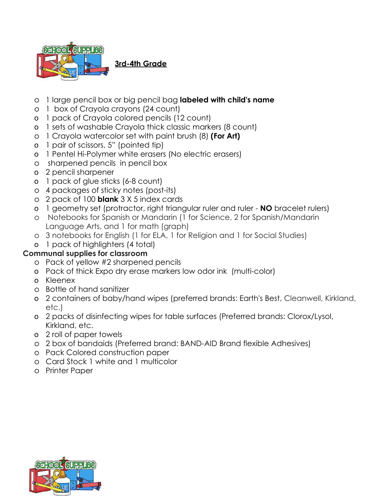

**3rd-4th Grade**

- o 1 large pencil box or big pencil bag **labeled with child's name**
- o 1 box of Crayola crayons (24 count)
- o 1 pack of Crayola colored pencils (12 count)
- o 1 sets of washable Crayola thick classic markers (8 count)
- o 1 Crayola watercolor set with paint brush (8) **(For Art)**
- o 1 pair of scissors, 5" (pointed tip)
- o 1 Pentel Hi-Polymer white erasers (No electric erasers)
- o sharpened pencils in pencil box
- o 2 pencil sharpener
- o 1 pack of glue sticks (6-8 count)
- o 4 packages of sticky notes (post-its)
- o 2 pack of 100 **blank** 3 X 5 index cards
- o 1 geometry set (protractor, right triangular ruler and ruler **NO** bracelet rulers)
- o Notebooks for Spanish or Mandarin (1 for Science, 2 for Spanish/Mandarin Language Arts, and 1 for math (graph)
- o 3 notebooks for English (1 for ELA, 1 for Religion and 1 for Social Studies)
- o 1 pack of highlighters (4 total)

## **Communal supplies for classroom**

- o Pack of yellow #2 sharpened pencils
- o Pack of thick Expo dry erase markers low odor ink (multi-color)
- o Kleenex
- o Bottle of hand sanitizer
- o 2 containers of baby/hand wipes (preferred brands: Earth's Best, Cleanwell, Kirkland, etc.)
- o 2 packs of disinfecting wipes for table surfaces (Preferred brands: Clorox/Lysol, Kirkland, etc.
- o 2 roll of paper towels
- o 2 box of bandaids (Preferred brand: BAND-AID Brand flexible Adhesives)
- o Pack Colored construction paper
- o Card Stock 1 white and 1 multicolor
- o Printer Paper